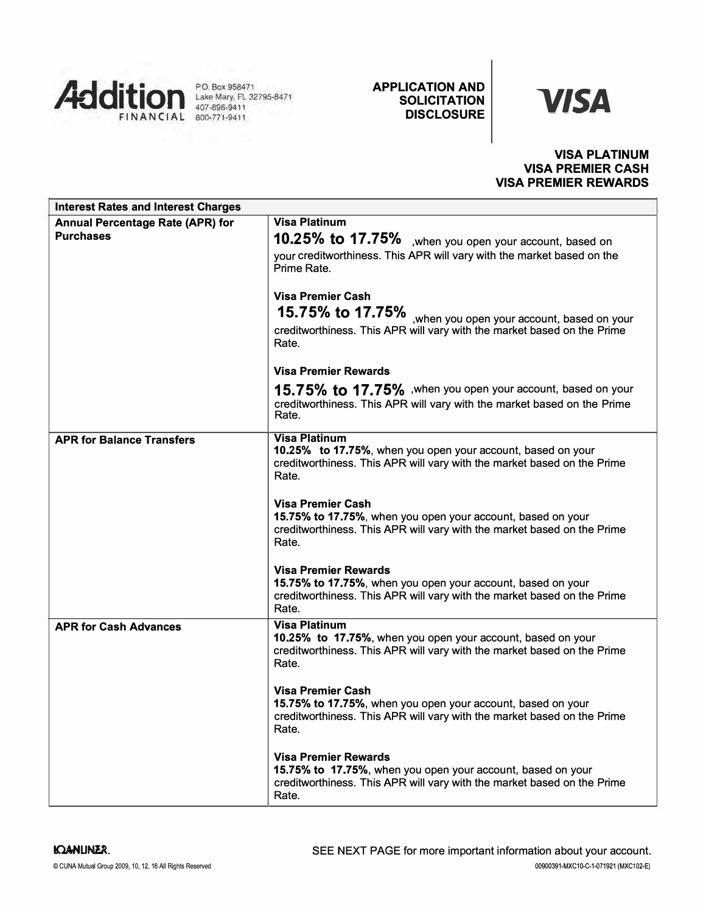

Lake Mary, FL 32795-8471 407-896-9411

# **APPLICATION AND SOLICITATION**

# *VISA*

# **VISA PLATINUM VISA PREMIER CASH VISA PREMIER REWARDS**

| <b>Interest Rates and Interest Charges</b>                  |                                                                                                                                                                                |
|-------------------------------------------------------------|--------------------------------------------------------------------------------------------------------------------------------------------------------------------------------|
| <b>Annual Percentage Rate (APR) for</b><br><b>Purchases</b> | <b>Visa Platinum</b><br>10.25% to 17.75% , when you open your account, based on                                                                                                |
|                                                             | your creditworthiness. This APR will vary with the market based on the<br>Prime Rate.                                                                                          |
|                                                             | <b>Visa Premier Cash</b><br>15.75% to 17.75% when you open your account, based on your<br>creditworthiness. This APR will vary with the market based on the Prime<br>Rate.     |
|                                                             | <b>Visa Premier Rewards</b>                                                                                                                                                    |
|                                                             | 15.75% to 17.75% , when you open your account, based on your<br>creditworthiness. This APR will vary with the market based on the Prime<br>Rate.                               |
| <b>APR for Balance Transfers</b>                            | <b>Visa Platinum</b><br>10.25% to 17.75%, when you open your account, based on your<br>creditworthiness. This APR will vary with the market based on the Prime<br>Rate.        |
|                                                             | <b>Visa Premier Cash</b><br>15.75% to 17.75%, when you open your account, based on your<br>creditworthiness. This APR will vary with the market based on the Prime<br>Rate.    |
|                                                             | <b>Visa Premier Rewards</b><br>15.75% to 17.75%, when you open your account, based on your<br>creditworthiness. This APR will vary with the market based on the Prime<br>Rate. |
| <b>APR for Cash Advances</b>                                | <b>Visa Platinum</b><br>10.25% to 17.75%, when you open your account, based on your<br>creditworthiness. This APR will vary with the market based on the Prime<br>Rate.        |
|                                                             | <b>Visa Premier Cash</b><br>15.75% to 17.75%, when you open your account, based on your<br>creditworthiness. This APR will vary with the market based on the Prime<br>Rate.    |
|                                                             | <b>Visa Premier Rewards</b><br>15.75% to 17.75%, when you open your account, based on your<br>creditworthiness. This APR will vary with the market based on the Prime<br>Rate. |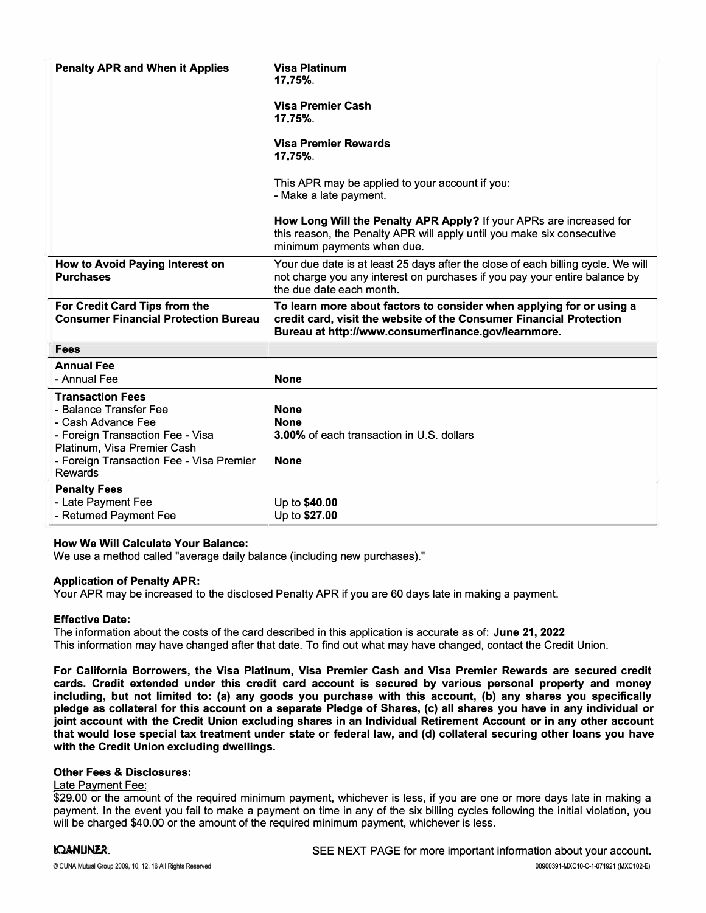| <b>Penalty APR and When it Applies</b>                                                                                                                                                                   | <b>Visa Platinum</b><br>17.75%.<br><b>Visa Premier Cash</b><br>17.75%.<br><b>Visa Premier Rewards</b><br>17.75%<br>This APR may be applied to your account if you:<br>- Make a late payment.<br>How Long Will the Penalty APR Apply? If your APRs are increased for<br>this reason, the Penalty APR will apply until you make six consecutive<br>minimum payments when due. |
|----------------------------------------------------------------------------------------------------------------------------------------------------------------------------------------------------------|-----------------------------------------------------------------------------------------------------------------------------------------------------------------------------------------------------------------------------------------------------------------------------------------------------------------------------------------------------------------------------|
| How to Avoid Paying Interest on<br><b>Purchases</b>                                                                                                                                                      | Your due date is at least 25 days after the close of each billing cycle. We will<br>not charge you any interest on purchases if you pay your entire balance by<br>the due date each month.                                                                                                                                                                                  |
| For Credit Card Tips from the<br><b>Consumer Financial Protection Bureau</b>                                                                                                                             | To learn more about factors to consider when applying for or using a<br>credit card, visit the website of the Consumer Financial Protection<br>Bureau at http://www.consumerfinance.gov/learnmore.                                                                                                                                                                          |
| <b>Fees</b>                                                                                                                                                                                              |                                                                                                                                                                                                                                                                                                                                                                             |
| <b>Annual Fee</b><br>- Annual Fee                                                                                                                                                                        | <b>None</b>                                                                                                                                                                                                                                                                                                                                                                 |
| <b>Transaction Fees</b><br>- Balance Transfer Fee<br>- Cash Advance Fee<br>- Foreign Transaction Fee - Visa<br>Platinum, Visa Premier Cash<br>- Foreign Transaction Fee - Visa Premier<br><b>Rewards</b> | <b>None</b><br><b>None</b><br>3.00% of each transaction in U.S. dollars<br><b>None</b>                                                                                                                                                                                                                                                                                      |
| <b>Penalty Fees</b><br>- Late Payment Fee<br>- Returned Payment Fee                                                                                                                                      | Up to \$40.00<br>Up to \$27.00                                                                                                                                                                                                                                                                                                                                              |

# **How We Will Calculate Your Balance:**

We use a method called "average daily balance (including new purchases)."

#### **Application of Penalty APR:**

Your APR may be increased to the disclosed Penalty APR if you are 60 days late in making a payment.

#### **Effective Date:**

The information about the costs of the card described in this application is accurate as of: **June 21, 2022**  This information may have changed after that date. To find out what may have changed, contact the Credit Union.

**For California Borrowers, the Visa Platinum, Visa Premier Cash and Visa Premier Rewards are secured credit cards. Credit extended under this credit card account is secured by various personal property and money**  including, but not limited to: (a) any goods you purchase with this account, (b) any shares you specifically **pledge as collateral for this account on a separate Pledge of Shares, (c) all shares you have in any individual or joint account with the Credit Union excluding shares in an Individual Retirement Account or in any other account that would lose special tax treatment under state or federal law, and (d) collateral securing other loans you have with the Credit Union excluding dwellings.** 

## **Other Fees & Disclosures:**

#### Late Payment Fee:

\$29.00 or the amount of the required minimum payment, whichever is less, if you are one or more days late in making a payment. In the event you fail to make a payment on time in any of the six billing cycles following the initial violation, you will be charged \$40.00 or the amount of the required minimum payment, whichever is less.

### **IOANUNER**